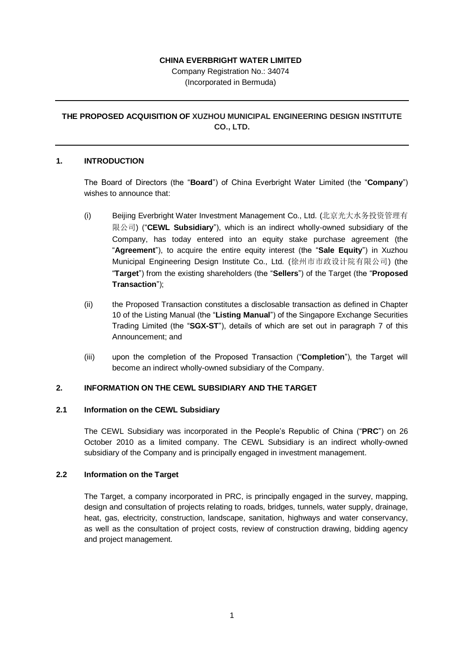### **CHINA EVERBRIGHT WATER LIMITED**

Company Registration No.: 34074 (Incorporated in Bermuda)

# **THE PROPOSED ACQUISITION OF XUZHOU MUNICIPAL ENGINEERING DESIGN INSTITUTE CO., LTD.**

### **1. INTRODUCTION**

The Board of Directors (the "**Board**") of China Everbright Water Limited (the "**Company**") wishes to announce that:

- (i) Beijing Everbright Water Investment Management Co., Ltd. (北京光大水务投资管理有 限公司) ("**CEWL Subsidiary**"), which is an indirect wholly-owned subsidiary of the Company, has today entered into an equity stake purchase agreement (the "**Agreement**"), to acquire the entire equity interest (the "**Sale Equity**") in Xuzhou Municipal Engineering Design Institute Co., Ltd. (徐州市市政设计院有限公司) (the "**Target**") from the existing shareholders (the "**Sellers**") of the Target (the "**Proposed Transaction**");
- (ii) the Proposed Transaction constitutes a disclosable transaction as defined in Chapter 10 of the Listing Manual (the "**Listing Manual**") of the Singapore Exchange Securities Trading Limited (the "**SGX-ST**"), details of which are set out in paragraph [7](#page-9-0) of this Announcement; and
- (iii) upon the completion of the Proposed Transaction ("**Completion**"), the Target will become an indirect wholly-owned subsidiary of the Company.

## **2. INFORMATION ON THE CEWL SUBSIDIARY AND THE TARGET**

### **2.1 Information on the CEWL Subsidiary**

The CEWL Subsidiary was incorporated in the People's Republic of China ("**PRC**") on 26 October 2010 as a limited company. The CEWL Subsidiary is an indirect wholly-owned subsidiary of the Company and is principally engaged in investment management.

### **2.2 Information on the Target**

The Target, a company incorporated in PRC, is principally engaged in the survey, mapping, design and consultation of projects relating to roads, bridges, tunnels, water supply, drainage, heat, gas, electricity, construction, landscape, sanitation, highways and water conservancy, as well as the consultation of project costs, review of construction drawing, bidding agency and project management.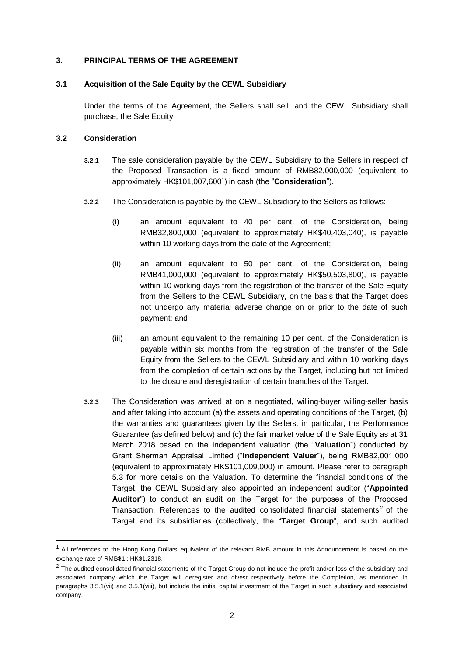### **3. PRINCIPAL TERMS OF THE AGREEMENT**

#### **3.1 Acquisition of the Sale Equity by the CEWL Subsidiary**

Under the terms of the Agreement, the Sellers shall sell, and the CEWL Subsidiary shall purchase, the Sale Equity.

#### **3.2 Consideration**

1

- **3.2.1** The sale consideration payable by the CEWL Subsidiary to the Sellers in respect of the Proposed Transaction is a fixed amount of RMB82,000,000 (equivalent to approximately HK\$101,007,600<sup>1</sup>) in cash (the "**Consideration**").
- **3.2.2** The Consideration is payable by the CEWL Subsidiary to the Sellers as follows:
	- (i) an amount equivalent to 40 per cent. of the Consideration, being RMB32,800,000 (equivalent to approximately HK\$40,403,040), is payable within 10 working days from the date of the Agreement;
	- (ii) an amount equivalent to 50 per cent. of the Consideration, being RMB41,000,000 (equivalent to approximately HK\$50,503,800), is payable within 10 working days from the registration of the transfer of the Sale Equity from the Sellers to the CEWL Subsidiary, on the basis that the Target does not undergo any material adverse change on or prior to the date of such payment; and
	- (iii) an amount equivalent to the remaining 10 per cent. of the Consideration is payable within six months from the registration of the transfer of the Sale Equity from the Sellers to the CEWL Subsidiary and within 10 working days from the completion of certain actions by the Target, including but not limited to the closure and deregistration of certain branches of the Target.
- **3.2.3** The Consideration was arrived at on a negotiated, willing-buyer willing-seller basis and after taking into account (a) the assets and operating conditions of the Target, (b) the warranties and guarantees given by the Sellers, in particular, the Performance Guarantee (as defined below) and (c) the fair market value of the Sale Equity as at 31 March 2018 based on the independent valuation (the "**Valuation**") conducted by Grant Sherman Appraisal Limited ("**Independent Valuer**"), being RMB82,001,000 (equivalent to approximately HK\$101,009,000) in amount. Please refer to paragraph [5.3](#page-7-0) for more details on the Valuation. To determine the financial conditions of the Target, the CEWL Subsidiary also appointed an independent auditor ("**Appointed Auditor**") to conduct an audit on the Target for the purposes of the Proposed Transaction. References to the audited consolidated financial statements<sup>2</sup> of the Target and its subsidiaries (collectively, the "**Target Group**", and such audited

<sup>&</sup>lt;sup>1</sup> All references to the Hong Kong Dollars equivalent of the relevant RMB amount in this Announcement is based on the exchange rate of RMB\$1 : HK\$1.2318.

 $2$  The audited consolidated financial statements of the Target Group do not include the profit and/or loss of the subsidiary and associated company which the Target will deregister and divest respectively before the Completion, as mentioned in paragraphs [3.5.1\(vii\)](#page-4-0) and [3.5.1\(viii\),](#page-4-1) but include the initial capital investment of the Target in such subsidiary and associated company.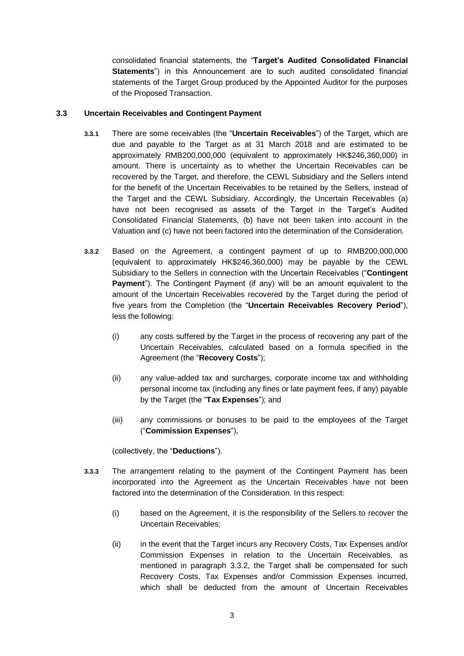consolidated financial statements, the "**Target's Audited Consolidated Financial Statements**") in this Announcement are to such audited consolidated financial statements of the Target Group produced by the Appointed Auditor for the purposes of the Proposed Transaction.

#### **3.3 Uncertain Receivables and Contingent Payment**

- **3.3.1** There are some receivables (the "**Uncertain Receivables**") of the Target, which are due and payable to the Target as at 31 March 2018 and are estimated to be approximately RMB200,000,000 (equivalent to approximately HK\$246,360,000) in amount. There is uncertainty as to whether the Uncertain Receivables can be recovered by the Target, and therefore, the CEWL Subsidiary and the Sellers intend for the benefit of the Uncertain Receivables to be retained by the Sellers, instead of the Target and the CEWL Subsidiary. Accordingly, the Uncertain Receivables (a) have not been recognised as assets of the Target in the Target's Audited Consolidated Financial Statements, (b) have not been taken into account in the Valuation and (c) have not been factored into the determination of the Consideration.
- <span id="page-2-0"></span>**3.3.2** Based on the Agreement, a contingent payment of up to RMB200,000,000 (equivalent to approximately HK\$246,360,000) may be payable by the CEWL Subsidiary to the Sellers in connection with the Uncertain Receivables ("**Contingent Payment**"). The Contingent Payment (if any) will be an amount equivalent to the amount of the Uncertain Receivables recovered by the Target during the period of five years from the Completion (the "**Uncertain Receivables Recovery Period**"), less the following:
	- (i) any costs suffered by the Target in the process of recovering any part of the Uncertain Receivables, calculated based on a formula specified in the Agreement (the "**Recovery Costs**");
	- (ii) any value-added tax and surcharges, corporate income tax and withholding personal income tax (including any fines or late payment fees, if any) payable by the Target (the "**Tax Expenses**"); and
	- (iii) any commissions or bonuses to be paid to the employees of the Target ("**Commission Expenses**"),

(collectively, the "**Deductions**").

- **3.3.3** The arrangement relating to the payment of the Contingent Payment has been incorporated into the Agreement as the Uncertain Receivables have not been factored into the determination of the Consideration. In this respect:
	- (i) based on the Agreement, it is the responsibility of the Sellers to recover the Uncertain Receivables;
	- (ii) in the event that the Target incurs any Recovery Costs, Tax Expenses and/or Commission Expenses in relation to the Uncertain Receivables, as mentioned in paragraph [3.3.2,](#page-2-0) the Target shall be compensated for such Recovery Costs, Tax Expenses and/or Commission Expenses incurred, which shall be deducted from the amount of Uncertain Receivables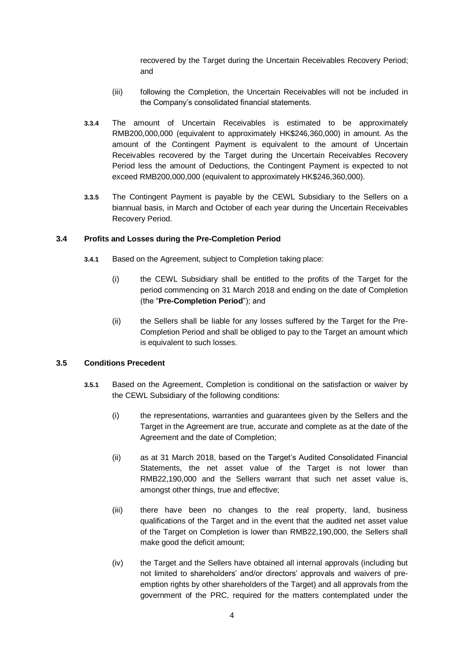recovered by the Target during the Uncertain Receivables Recovery Period; and

- (iii) following the Completion, the Uncertain Receivables will not be included in the Company's consolidated financial statements.
- **3.3.4** The amount of Uncertain Receivables is estimated to be approximately RMB200,000,000 (equivalent to approximately HK\$246,360,000) in amount. As the amount of the Contingent Payment is equivalent to the amount of Uncertain Receivables recovered by the Target during the Uncertain Receivables Recovery Period less the amount of Deductions, the Contingent Payment is expected to not exceed RMB200,000,000 (equivalent to approximately HK\$246,360,000).
- **3.3.5** The Contingent Payment is payable by the CEWL Subsidiary to the Sellers on a biannual basis, in March and October of each year during the Uncertain Receivables Recovery Period.

### **3.4 Profits and Losses during the Pre-Completion Period**

- **3.4.1** Based on the Agreement, subject to Completion taking place:
	- (i) the CEWL Subsidiary shall be entitled to the profits of the Target for the period commencing on 31 March 2018 and ending on the date of Completion (the "**Pre-Completion Period**"); and
	- (ii) the Sellers shall be liable for any losses suffered by the Target for the Pre-Completion Period and shall be obliged to pay to the Target an amount which is equivalent to such losses.

### **3.5 Conditions Precedent**

- **3.5.1** Based on the Agreement, Completion is conditional on the satisfaction or waiver by the CEWL Subsidiary of the following conditions:
	- (i) the representations, warranties and guarantees given by the Sellers and the Target in the Agreement are true, accurate and complete as at the date of the Agreement and the date of Completion;
	- (ii) as at 31 March 2018, based on the Target's Audited Consolidated Financial Statements, the net asset value of the Target is not lower than RMB22,190,000 and the Sellers warrant that such net asset value is, amongst other things, true and effective;
	- (iii) there have been no changes to the real property, land, business qualifications of the Target and in the event that the audited net asset value of the Target on Completion is lower than RMB22,190,000, the Sellers shall make good the deficit amount;
	- (iv) the Target and the Sellers have obtained all internal approvals (including but not limited to shareholders' and/or directors' approvals and waivers of preemption rights by other shareholders of the Target) and all approvals from the government of the PRC, required for the matters contemplated under the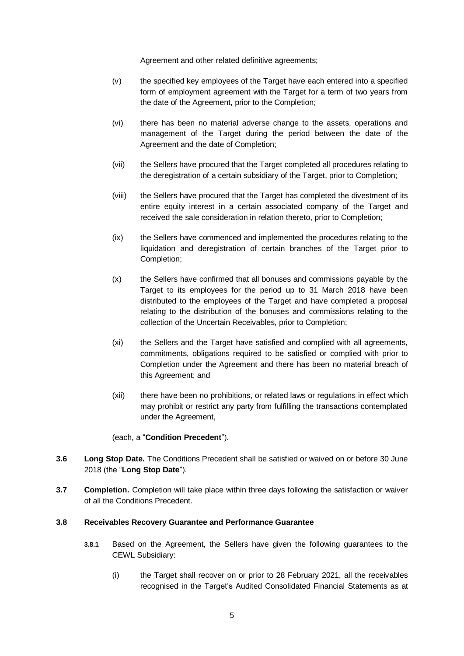Agreement and other related definitive agreements;

- (v) the specified key employees of the Target have each entered into a specified form of employment agreement with the Target for a term of two years from the date of the Agreement, prior to the Completion;
- (vi) there has been no material adverse change to the assets, operations and management of the Target during the period between the date of the Agreement and the date of Completion;
- <span id="page-4-0"></span>(vii) the Sellers have procured that the Target completed all procedures relating to the deregistration of a certain subsidiary of the Target, prior to Completion;
- <span id="page-4-1"></span>(viii) the Sellers have procured that the Target has completed the divestment of its entire equity interest in a certain associated company of the Target and received the sale consideration in relation thereto, prior to Completion;
- (ix) the Sellers have commenced and implemented the procedures relating to the liquidation and deregistration of certain branches of the Target prior to Completion;
- (x) the Sellers have confirmed that all bonuses and commissions payable by the Target to its employees for the period up to 31 March 2018 have been distributed to the employees of the Target and have completed a proposal relating to the distribution of the bonuses and commissions relating to the collection of the Uncertain Receivables, prior to Completion;
- (xi) the Sellers and the Target have satisfied and complied with all agreements, commitments, obligations required to be satisfied or complied with prior to Completion under the Agreement and there has been no material breach of this Agreement; and
- (xii) there have been no prohibitions, or related laws or regulations in effect which may prohibit or restrict any party from fulfilling the transactions contemplated under the Agreement,

(each, a "**Condition Precedent**").

- **3.6 Long Stop Date.** The Conditions Precedent shall be satisfied or waived on or before 30 June 2018 (the "**Long Stop Date**").
- **3.7 Completion.** Completion will take place within three days following the satisfaction or waiver of all the Conditions Precedent.

### **3.8 Receivables Recovery Guarantee and Performance Guarantee**

- **3.8.1** Based on the Agreement, the Sellers have given the following guarantees to the CEWL Subsidiary:
	- (i) the Target shall recover on or prior to 28 February 2021, all the receivables recognised in the Target's Audited Consolidated Financial Statements as at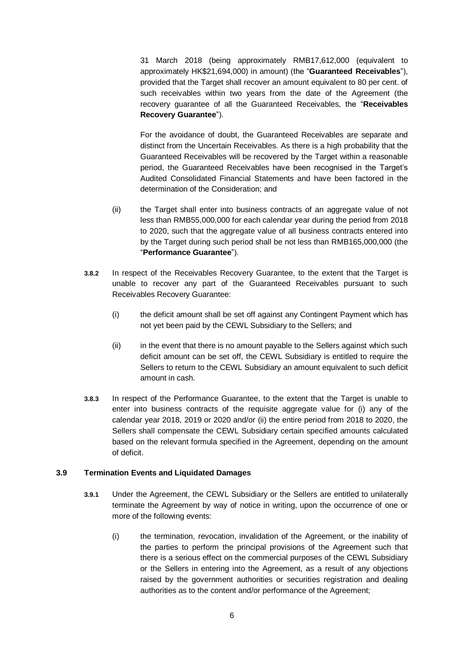31 March 2018 (being approximately RMB17,612,000 (equivalent to approximately HK\$21,694,000) in amount) (the "**Guaranteed Receivables**"), provided that the Target shall recover an amount equivalent to 80 per cent. of such receivables within two vears from the date of the Agreement (the recovery guarantee of all the Guaranteed Receivables, the "**Receivables Recovery Guarantee**").

For the avoidance of doubt, the Guaranteed Receivables are separate and distinct from the Uncertain Receivables. As there is a high probability that the Guaranteed Receivables will be recovered by the Target within a reasonable period, the Guaranteed Receivables have been recognised in the Target's Audited Consolidated Financial Statements and have been factored in the determination of the Consideration; and

- (ii) the Target shall enter into business contracts of an aggregate value of not less than RMB55,000,000 for each calendar year during the period from 2018 to 2020, such that the aggregate value of all business contracts entered into by the Target during such period shall be not less than RMB165,000,000 (the "**Performance Guarantee**").
- **3.8.2** In respect of the Receivables Recovery Guarantee, to the extent that the Target is unable to recover any part of the Guaranteed Receivables pursuant to such Receivables Recovery Guarantee:
	- (i) the deficit amount shall be set off against any Contingent Payment which has not yet been paid by the CEWL Subsidiary to the Sellers; and
	- (ii) in the event that there is no amount payable to the Sellers against which such deficit amount can be set off, the CEWL Subsidiary is entitled to require the Sellers to return to the CEWL Subsidiary an amount equivalent to such deficit amount in cash.
- **3.8.3** In respect of the Performance Guarantee, to the extent that the Target is unable to enter into business contracts of the requisite aggregate value for (i) any of the calendar year 2018, 2019 or 2020 and/or (ii) the entire period from 2018 to 2020, the Sellers shall compensate the CEWL Subsidiary certain specified amounts calculated based on the relevant formula specified in the Agreement, depending on the amount of deficit.

### **3.9 Termination Events and Liquidated Damages**

- **3.9.1** Under the Agreement, the CEWL Subsidiary or the Sellers are entitled to unilaterally terminate the Agreement by way of notice in writing, upon the occurrence of one or more of the following events:
	- (i) the termination, revocation, invalidation of the Agreement, or the inability of the parties to perform the principal provisions of the Agreement such that there is a serious effect on the commercial purposes of the CEWL Subsidiary or the Sellers in entering into the Agreement, as a result of any objections raised by the government authorities or securities registration and dealing authorities as to the content and/or performance of the Agreement;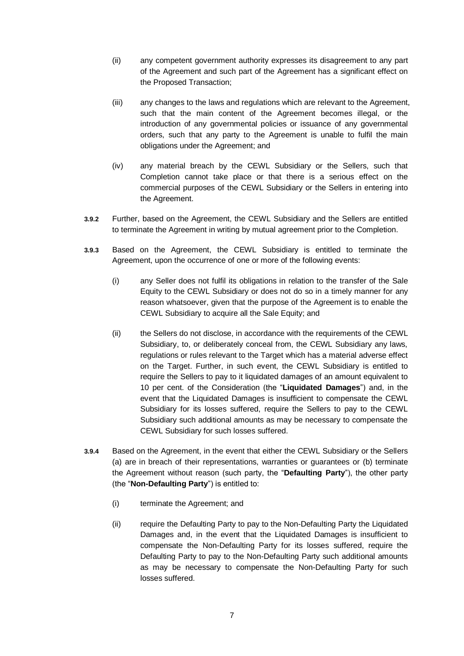- (ii) any competent government authority expresses its disagreement to any part of the Agreement and such part of the Agreement has a significant effect on the Proposed Transaction;
- (iii) any changes to the laws and regulations which are relevant to the Agreement, such that the main content of the Agreement becomes illegal, or the introduction of any governmental policies or issuance of any governmental orders, such that any party to the Agreement is unable to fulfil the main obligations under the Agreement; and
- (iv) any material breach by the CEWL Subsidiary or the Sellers, such that Completion cannot take place or that there is a serious effect on the commercial purposes of the CEWL Subsidiary or the Sellers in entering into the Agreement.
- **3.9.2** Further, based on the Agreement, the CEWL Subsidiary and the Sellers are entitled to terminate the Agreement in writing by mutual agreement prior to the Completion.
- **3.9.3** Based on the Agreement, the CEWL Subsidiary is entitled to terminate the Agreement, upon the occurrence of one or more of the following events:
	- (i) any Seller does not fulfil its obligations in relation to the transfer of the Sale Equity to the CEWL Subsidiary or does not do so in a timely manner for any reason whatsoever, given that the purpose of the Agreement is to enable the CEWL Subsidiary to acquire all the Sale Equity; and
	- (ii) the Sellers do not disclose, in accordance with the requirements of the CEWL Subsidiary, to, or deliberately conceal from, the CEWL Subsidiary any laws, regulations or rules relevant to the Target which has a material adverse effect on the Target. Further, in such event, the CEWL Subsidiary is entitled to require the Sellers to pay to it liquidated damages of an amount equivalent to 10 per cent. of the Consideration (the "**Liquidated Damages**") and, in the event that the Liquidated Damages is insufficient to compensate the CEWL Subsidiary for its losses suffered, require the Sellers to pay to the CEWL Subsidiary such additional amounts as may be necessary to compensate the CEWL Subsidiary for such losses suffered.
- **3.9.4** Based on the Agreement, in the event that either the CEWL Subsidiary or the Sellers (a) are in breach of their representations, warranties or guarantees or (b) terminate the Agreement without reason (such party, the "**Defaulting Party**"), the other party (the "**Non-Defaulting Party**") is entitled to:
	- (i) terminate the Agreement; and
	- (ii) require the Defaulting Party to pay to the Non-Defaulting Party the Liquidated Damages and, in the event that the Liquidated Damages is insufficient to compensate the Non-Defaulting Party for its losses suffered, require the Defaulting Party to pay to the Non-Defaulting Party such additional amounts as may be necessary to compensate the Non-Defaulting Party for such losses suffered.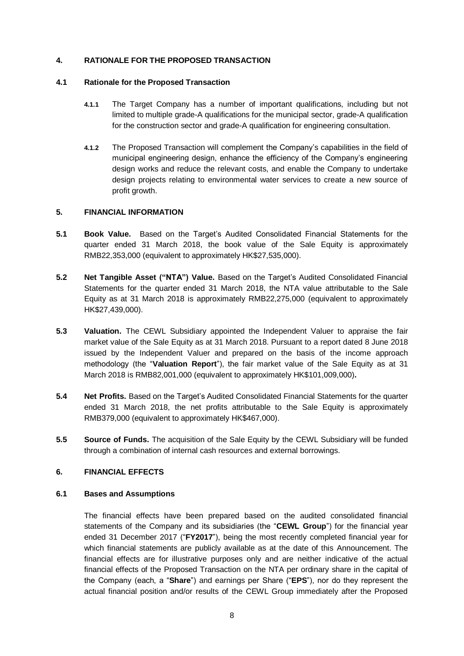### **4. RATIONALE FOR THE PROPOSED TRANSACTION**

#### **4.1 Rationale for the Proposed Transaction**

- **4.1.1** The Target Company has a number of important qualifications, including but not limited to multiple grade-A qualifications for the municipal sector, grade-A qualification for the construction sector and grade-A qualification for engineering consultation.
- **4.1.2** The Proposed Transaction will complement the Company's capabilities in the field of municipal engineering design, enhance the efficiency of the Company's engineering design works and reduce the relevant costs, and enable the Company to undertake design projects relating to environmental water services to create a new source of profit growth.

#### **5. FINANCIAL INFORMATION**

- **5.1 Book Value.** Based on the Target's Audited Consolidated Financial Statements for the quarter ended 31 March 2018, the book value of the Sale Equity is approximately RMB22,353,000 (equivalent to approximately HK\$27,535,000).
- **5.2 Net Tangible Asset ("NTA") Value.** Based on the Target's Audited Consolidated Financial Statements for the quarter ended 31 March 2018, the NTA value attributable to the Sale Equity as at 31 March 2018 is approximately RMB22,275,000 (equivalent to approximately HK\$27,439,000).
- <span id="page-7-0"></span>**5.3 Valuation.** The CEWL Subsidiary appointed the Independent Valuer to appraise the fair market value of the Sale Equity as at 31 March 2018. Pursuant to a report dated 8 June 2018 issued by the Independent Valuer and prepared on the basis of the income approach methodology (the "**Valuation Report**"), the fair market value of the Sale Equity as at 31 March 2018 is RMB82,001,000 (equivalent to approximately HK\$101,009,000)**.**
- **5.4 Net Profits.** Based on the Target's Audited Consolidated Financial Statements for the quarter ended 31 March 2018, the net profits attributable to the Sale Equity is approximately RMB379,000 (equivalent to approximately HK\$467,000).
- **5.5 Source of Funds.** The acquisition of the Sale Equity by the CEWL Subsidiary will be funded through a combination of internal cash resources and external borrowings.

### **6. FINANCIAL EFFECTS**

#### **6.1 Bases and Assumptions**

The financial effects have been prepared based on the audited consolidated financial statements of the Company and its subsidiaries (the "**CEWL Group**") for the financial year ended 31 December 2017 ("**FY2017**"), being the most recently completed financial year for which financial statements are publicly available as at the date of this Announcement. The financial effects are for illustrative purposes only and are neither indicative of the actual financial effects of the Proposed Transaction on the NTA per ordinary share in the capital of the Company (each, a "**Share**") and earnings per Share ("**EPS**"), nor do they represent the actual financial position and/or results of the CEWL Group immediately after the Proposed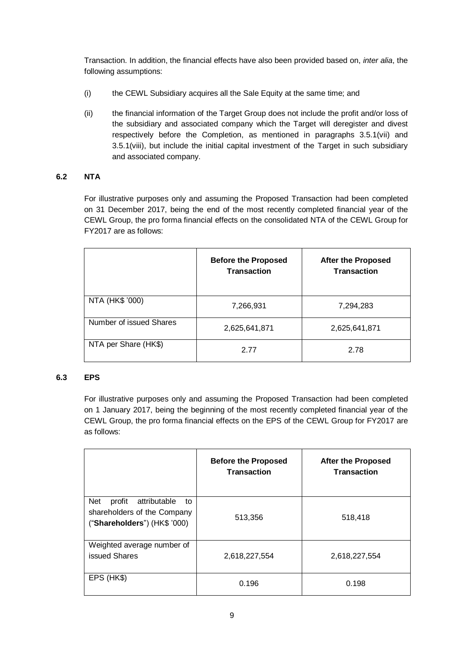Transaction. In addition, the financial effects have also been provided based on, *inter alia*, the following assumptions:

- (i) the CEWL Subsidiary acquires all the Sale Equity at the same time; and
- (ii) the financial information of the Target Group does not include the profit and/or loss of the subsidiary and associated company which the Target will deregister and divest respectively before the Completion, as mentioned in paragraphs 3.5.1(vii) and 3.5.1(viii), but include the initial capital investment of the Target in such subsidiary and associated company.

## **6.2 NTA**

For illustrative purposes only and assuming the Proposed Transaction had been completed on 31 December 2017, being the end of the most recently completed financial year of the CEWL Group, the pro forma financial effects on the consolidated NTA of the CEWL Group for FY2017 are as follows:

|                         | <b>Before the Proposed</b><br><b>Transaction</b> | <b>After the Proposed</b><br><b>Transaction</b> |  |
|-------------------------|--------------------------------------------------|-------------------------------------------------|--|
| NTA (HK\$ '000)         | 7,266,931                                        | 7,294,283                                       |  |
| Number of issued Shares | 2,625,641,871                                    | 2,625,641,871                                   |  |
| NTA per Share (HK\$)    | 2.77                                             | 2.78                                            |  |

### **6.3 EPS**

For illustrative purposes only and assuming the Proposed Transaction had been completed on 1 January 2017, being the beginning of the most recently completed financial year of the CEWL Group, the pro forma financial effects on the EPS of the CEWL Group for FY2017 are as follows:

|                                                                                                           | <b>Before the Proposed</b><br><b>Transaction</b> | <b>After the Proposed</b><br><b>Transaction</b> |  |
|-----------------------------------------------------------------------------------------------------------|--------------------------------------------------|-------------------------------------------------|--|
| <b>Net</b><br>profit<br>attributable<br>to<br>shareholders of the Company<br>("Shareholders") (HK\$ '000) | 513,356                                          | 518,418                                         |  |
| Weighted average number of<br>issued Shares                                                               | 2,618,227,554                                    | 2,618,227,554                                   |  |
| EPS (HK\$)                                                                                                | 0.196                                            | 0.198                                           |  |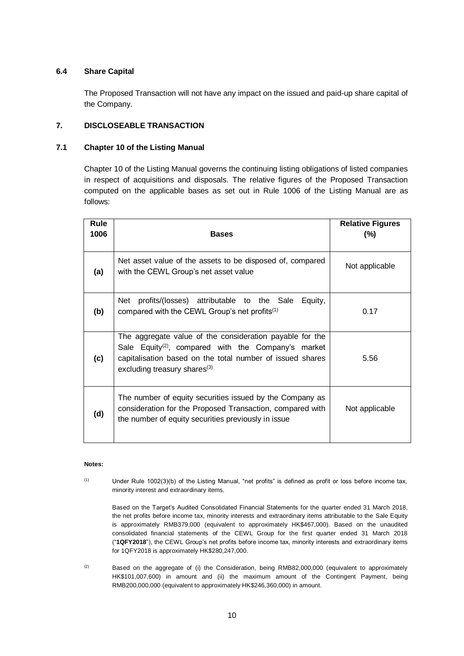### **6.4 Share Capital**

The Proposed Transaction will not have any impact on the issued and paid-up share capital of the Company.

### <span id="page-9-0"></span>**7. DISCLOSEABLE TRANSACTION**

### **7.1 Chapter 10 of the Listing Manual**

Chapter 10 of the Listing Manual governs the continuing listing obligations of listed companies in respect of acquisitions and disposals. The relative figures of the Proposed Transaction computed on the applicable bases as set out in Rule 1006 of the Listing Manual are as follows:

| <b>Rule</b><br>1006 | <b>Bases</b>                                                                                                                                                                                                                         | <b>Relative Figures</b><br>$(\% )$ |
|---------------------|--------------------------------------------------------------------------------------------------------------------------------------------------------------------------------------------------------------------------------------|------------------------------------|
| (a)                 | Net asset value of the assets to be disposed of, compared<br>with the CEWL Group's net asset value                                                                                                                                   | Not applicable                     |
| (b)                 | profits/(losses) attributable to the Sale<br>Net<br>Equity,<br>compared with the CEWL Group's net profits <sup>(1)</sup>                                                                                                             | 0.17                               |
| (c)                 | The aggregate value of the consideration payable for the<br>Sale Equity <sup>(2)</sup> , compared with the Company's market<br>capitalisation based on the total number of issued shares<br>excluding treasury shares <sup>(3)</sup> | 5.56                               |
| (d)                 | The number of equity securities issued by the Company as<br>consideration for the Proposed Transaction, compared with<br>the number of equity securities previously in issue                                                         | Not applicable                     |

#### **Notes:**

(1) Under Rule 1002(3)(b) of the Listing Manual, "net profits" is defined as profit or loss before income tax, minority interest and extraordinary items.

Based on the Target's Audited Consolidated Financial Statements for the quarter ended 31 March 2018, the net profits before income tax, minority interests and extraordinary items attributable to the Sale Equity is approximately RMB379,000 (equivalent to approximately HK\$467,000). Based on the unaudited consolidated financial statements of the CEWL Group for the first quarter ended 31 March 2018 ("**1QFY2018**"), the CEWL Group's net profits before income tax, minority interests and extraordinary items for 1QFY2018 is approximately HK\$280,247,000.

<sup>(2)</sup> Based on the aggregate of (i) the Consideration, being RMB82,000,000 (equivalent to approximately HK\$101,007,600) in amount and (ii) the maximum amount of the Contingent Payment, being RMB200,000,000 (equivalent to approximately HK\$246,360,000) in amount.